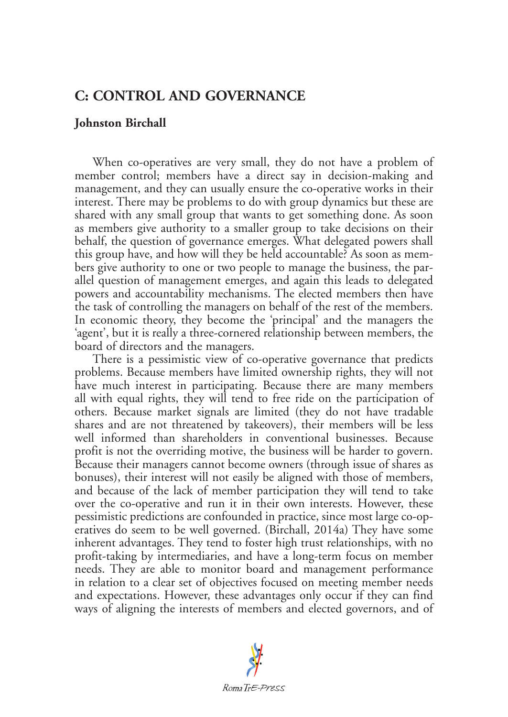## **C: CONTROL AND GOVERNANCE**

## **Johnston Birchall**

When co-operatives are very small, they do not have a problem of member control; members have a direct say in decision-making and management, and they can usually ensure the co-operative works in their interest. There may be problems to do with group dynamics but these are shared with any small group that wants to get something done. As soon as members give authority to a smaller group to take decisions on their behalf, the question of governance emerges. What delegated powers shall this group have, and how will they be held accountable? As soon as members give authority to one or two people to manage the business, the parallel question of management emerges, and again this leads to delegated powers and accountability mechanisms. The elected members then have the task of controlling the managers on behalf of the rest of the members. In economic theory, they become the 'principal' and the managers the 'agent', but it is really a three-cornered relationship between members, the board of directors and the managers.

There is a pessimistic view of co-operative governance that predicts problems. Because members have limited ownership rights, they will not have much interest in participating. Because there are many members all with equal rights, they will tend to free ride on the participation of others. Because market signals are limited (they do not have tradable shares and are not threatened by takeovers), their members will be less well informed than shareholders in conventional businesses. Because profit is not the overriding motive, the business will be harder to govern. Because their managers cannot become owners (through issue of shares as bonuses), their interest will not easily be aligned with those of members, and because of the lack of member participation they will tend to take over the co-operative and run it in their own interests. However, these pessimistic predictions are confounded in practice, since most large co-operatives do seem to be well governed. (Birchall, 2014a) They have some inherent advantages. They tend to foster high trust relationships, with no profit-taking by intermediaries, and have a long-term focus on member needs. They are able to monitor board and management performance in relation to a clear set of objectives focused on meeting member needs and expectations. However, these advantages only occur if they can find ways of aligning the interests of members and elected governors, and of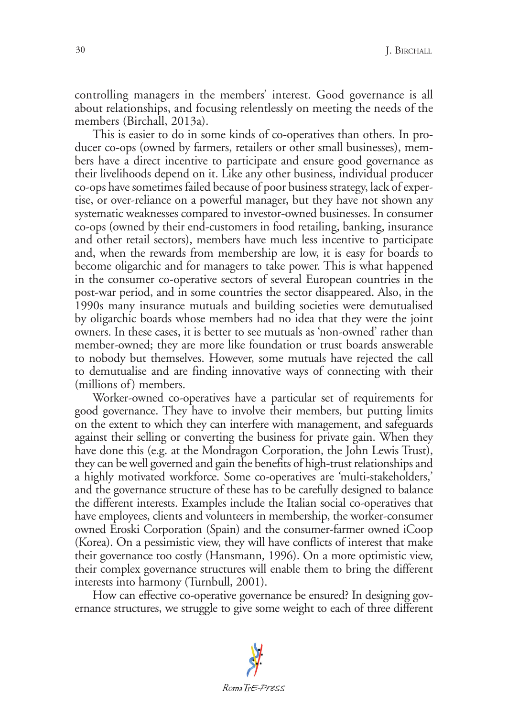controlling managers in the members' interest. Good governance is all about relationships, and focusing relentlessly on meeting the needs of the members (Birchall, 2013a).

This is easier to do in some kinds of co-operatives than others. In producer co-ops (owned by farmers, retailers or other small businesses), members have a direct incentive to participate and ensure good governance as their livelihoods depend on it. Like any other business, individual producer co-ops have sometimes failed because of poor business strategy, lack of expertise, or over-reliance on a powerful manager, but they have not shown any systematic weaknesses compared to investor-owned businesses. In consumer co-ops (owned by their end-customers in food retailing, banking, insurance and other retail sectors), members have much less incentive to participate and, when the rewards from membership are low, it is easy for boards to become oligarchic and for managers to take power. This is what happened in the consumer co-operative sectors of several European countries in the post-war period, and in some countries the sector disappeared. Also, in the 1990s many insurance mutuals and building societies were demutualised by oligarchic boards whose members had no idea that they were the joint owners. In these cases, it is better to see mutuals as 'non-owned' rather than member-owned; they are more like foundation or trust boards answerable to nobody but themselves. However, some mutuals have rejected the call to demutualise and are finding innovative ways of connecting with their (millions of) members.

Worker-owned co-operatives have a particular set of requirements for good governance. They have to involve their members, but putting limits on the extent to which they can interfere with management, and safeguards against their selling or converting the business for private gain. When they have done this (e.g. at the Mondragon Corporation, the John Lewis Trust), they can be well governed and gain the benefits of high-trust relationships and a highly motivated workforce. Some co-operatives are 'multi-stakeholders,' and the governance structure of these has to be carefully designed to balance the different interests. Examples include the Italian social co-operatives that have employees, clients and volunteers in membership, the worker-consumer owned Eroski Corporation (Spain) and the consumer-farmer owned iCoop (Korea). On a pessimistic view, they will have conflicts of interest that make their governance too costly (Hansmann, 1996). On a more optimistic view, their complex governance structures will enable them to bring the different interests into harmony (Turnbull, 2001).

How can effective co-operative governance be ensured? In designing governance structures, we struggle to give some weight to each of three different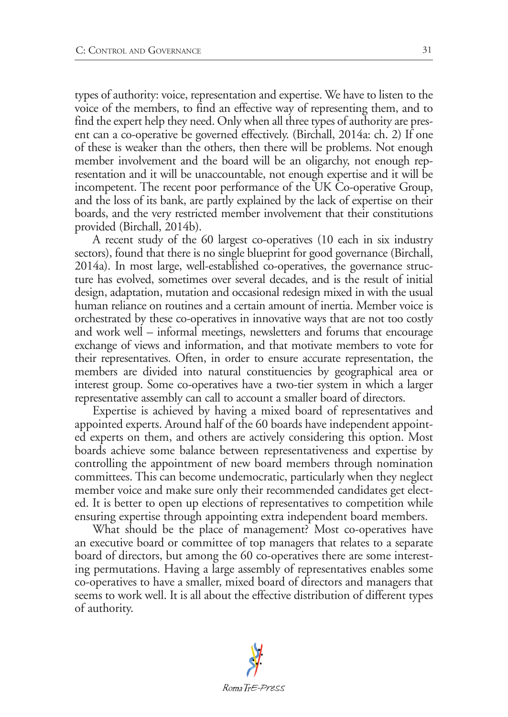types of authority: voice, representation and expertise. We have to listen to the voice of the members, to find an effective way of representing them, and to find the expert help they need. Only when all three types of authority are present can a co-operative be governed effectively. (Birchall, 2014a: ch. 2) If one of these is weaker than the others, then there will be problems. Not enough member involvement and the board will be an oligarchy, not enough representation and it will be unaccountable, not enough expertise and it will be incompetent. The recent poor performance of the UK Co-operative Group, and the loss of its bank, are partly explained by the lack of expertise on their boards, and the very restricted member involvement that their constitutions provided (Birchall, 2014b).

A recent study of the 60 largest co-operatives (10 each in six industry sectors), found that there is no single blueprint for good governance (Birchall, 2014a). In most large, well-established co-operatives, the governance structure has evolved, sometimes over several decades, and is the result of initial design, adaptation, mutation and occasional redesign mixed in with the usual human reliance on routines and a certain amount of inertia. Member voice is orchestrated by these co-operatives in innovative ways that are not too costly and work well – informal meetings, newsletters and forums that encourage exchange of views and information, and that motivate members to vote for their representatives. Often, in order to ensure accurate representation, the members are divided into natural constituencies by geographical area or interest group. Some co-operatives have a two-tier system in which a larger representative assembly can call to account a smaller board of directors.

Expertise is achieved by having a mixed board of representatives and appointed experts. Around half of the 60 boards have independent appointed experts on them, and others are actively considering this option. Most boards achieve some balance between representativeness and expertise by controlling the appointment of new board members through nomination committees. This can become undemocratic, particularly when they neglect member voice and make sure only their recommended candidates get elected. It is better to open up elections of representatives to competition while ensuring expertise through appointing extra independent board members.

What should be the place of management? Most co-operatives have an executive board or committee of top managers that relates to a separate board of directors, but among the 60 co-operatives there are some interesting permutations. Having a large assembly of representatives enables some co-operatives to have a smaller, mixed board of directors and managers that seems to work well. It is all about the effective distribution of different types of authority.